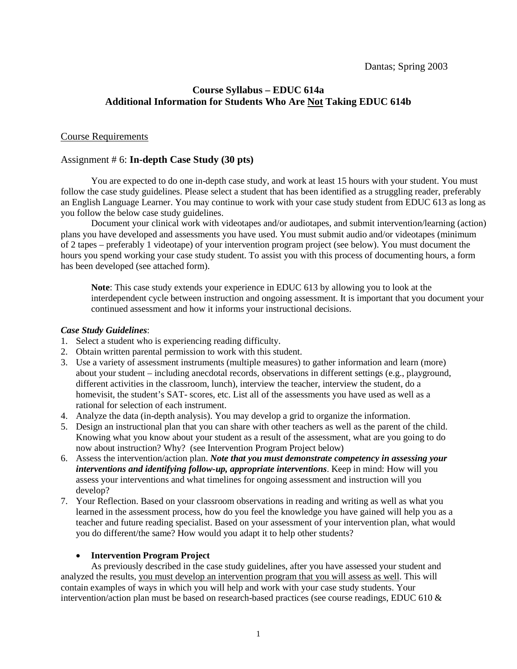# **Course Syllabus – EDUC 614a Additional Information for Students Who Are Not Taking EDUC 614b**

# Course Requirements

## Assignment # 6: **In-depth Case Study (30 pts)**

You are expected to do one in-depth case study, and work at least 15 hours with your student. You must follow the case study guidelines. Please select a student that has been identified as a struggling reader, preferably an English Language Learner. You may continue to work with your case study student from EDUC 613 as long as you follow the below case study guidelines.

Document your clinical work with videotapes and/or audiotapes, and submit intervention/learning (action) plans you have developed and assessments you have used. You must submit audio and/or videotapes (minimum of 2 tapes – preferably 1 videotape) of your intervention program project (see below). You must document the hours you spend working your case study student. To assist you with this process of documenting hours, a form has been developed (see attached form).

**Note**: This case study extends your experience in EDUC 613 by allowing you to look at the interdependent cycle between instruction and ongoing assessment. It is important that you document your continued assessment and how it informs your instructional decisions.

#### *Case Study Guidelines*:

- 1. Select a student who is experiencing reading difficulty.
- 2. Obtain written parental permission to work with this student.
- 3. Use a variety of assessment instruments (multiple measures) to gather information and learn (more) about your student – including anecdotal records, observations in different settings (e.g., playground, different activities in the classroom, lunch), interview the teacher, interview the student, do a homevisit, the student's SAT- scores, etc. List all of the assessments you have used as well as a rational for selection of each instrument.
- 4. Analyze the data (in-depth analysis). You may develop a grid to organize the information.
- 5. Design an instructional plan that you can share with other teachers as well as the parent of the child. Knowing what you know about your student as a result of the assessment, what are you going to do now about instruction? Why? (see Intervention Program Project below)
- 6. Assess the intervention/action plan. *Note that you must demonstrate competency in assessing your interventions and identifying follow-up, appropriate interventions*. Keep in mind: How will you assess your interventions and what timelines for ongoing assessment and instruction will you develop?
- 7. Your Reflection. Based on your classroom observations in reading and writing as well as what you learned in the assessment process, how do you feel the knowledge you have gained will help you as a teacher and future reading specialist. Based on your assessment of your intervention plan, what would you do different/the same? How would you adapt it to help other students?

### • **Intervention Program Project**

As previously described in the case study guidelines, after you have assessed your student and analyzed the results, you must develop an intervention program that you will assess as well. This will contain examples of ways in which you will help and work with your case study students. Your intervention/action plan must be based on research-based practices (see course readings, EDUC 610 &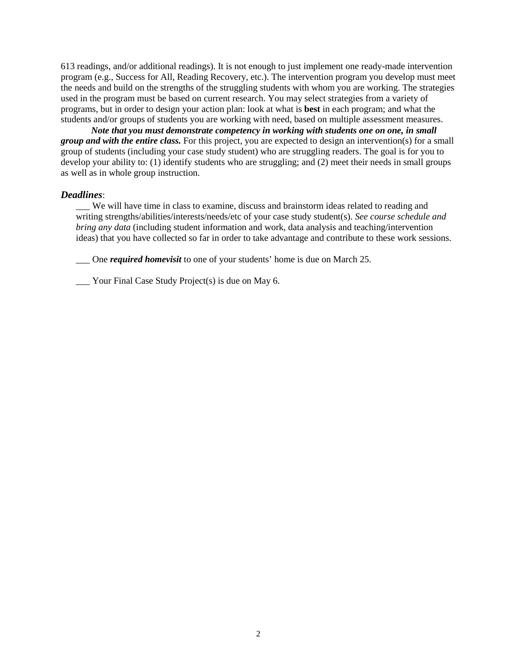613 readings, and/or additional readings). It is not enough to just implement one ready-made intervention program (e.g., Success for All, Reading Recovery, etc.). The intervention program you develop must meet the needs and build on the strengths of the struggling students with whom you are working. The strategies used in the program must be based on current research. You may select strategies from a variety of programs, but in order to design your action plan: look at what is **best** in each program; and what the students and/or groups of students you are working with need, based on multiple assessment measures.

*Note that you must demonstrate competency in working with students one on one, in small group and with the entire class.* For this project, you are expected to design an intervention(s) for a small group of students (including your case study student) who are struggling readers. The goal is for you to develop your ability to: (1) identify students who are struggling; and (2) meet their needs in small groups as well as in whole group instruction.

#### *Deadlines*:

We will have time in class to examine, discuss and brainstorm ideas related to reading and writing strengths/abilities/interests/needs/etc of your case study student(s). *See course schedule and bring any data* (including student information and work, data analysis and teaching/intervention ideas) that you have collected so far in order to take advantage and contribute to these work sessions.

\_\_\_ One *required homevisit* to one of your students' home is due on March 25.

Your Final Case Study Project(s) is due on May 6.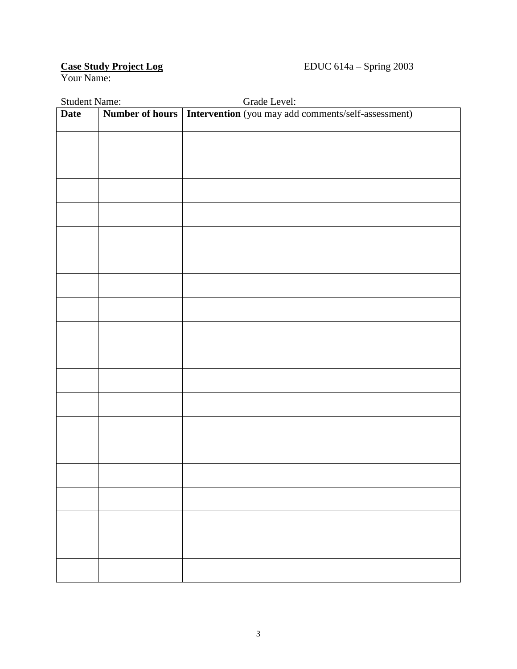# Case Study Project Log<br>Your Name:

| <b>Student Name:</b> |  | Grade Level:                                                          |
|----------------------|--|-----------------------------------------------------------------------|
| <b>Date</b>          |  | Number of hours   Intervention (you may add comments/self-assessment) |
|                      |  |                                                                       |
|                      |  |                                                                       |
|                      |  |                                                                       |
|                      |  |                                                                       |
|                      |  |                                                                       |
|                      |  |                                                                       |
|                      |  |                                                                       |
|                      |  |                                                                       |
|                      |  |                                                                       |
|                      |  |                                                                       |
|                      |  |                                                                       |
|                      |  |                                                                       |
|                      |  |                                                                       |
|                      |  |                                                                       |
|                      |  |                                                                       |
|                      |  |                                                                       |
|                      |  |                                                                       |
|                      |  |                                                                       |
|                      |  |                                                                       |
|                      |  |                                                                       |
|                      |  |                                                                       |
|                      |  |                                                                       |
|                      |  |                                                                       |
|                      |  |                                                                       |
|                      |  |                                                                       |
|                      |  |                                                                       |
|                      |  |                                                                       |
|                      |  |                                                                       |
|                      |  |                                                                       |
|                      |  |                                                                       |
|                      |  |                                                                       |
|                      |  |                                                                       |
|                      |  |                                                                       |
|                      |  |                                                                       |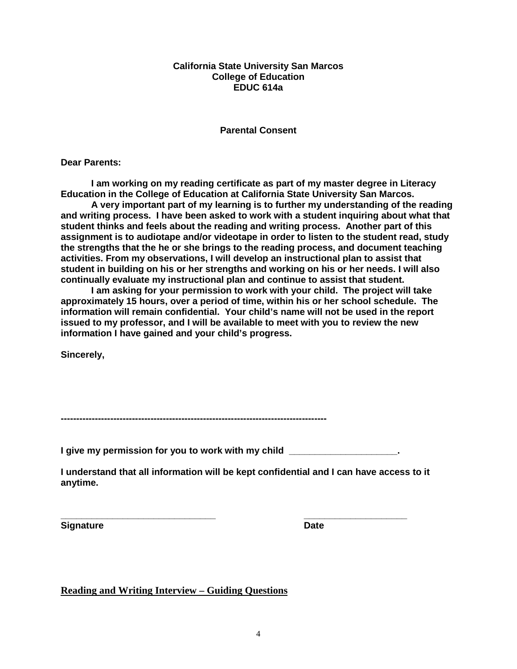### **California State University San Marcos College of Education EDUC 614a**

# **Parental Consent**

**Dear Parents:**

**I am working on my reading certificate as part of my master degree in Literacy Education in the College of Education at California State University San Marcos.** 

**A very important part of my learning is to further my understanding of the reading and writing process. I have been asked to work with a student inquiring about what that student thinks and feels about the reading and writing process. Another part of this assignment is to audiotape and/or videotape in order to listen to the student read, study the strengths that the he or she brings to the reading process, and document teaching activities. From my observations, I will develop an instructional plan to assist that student in building on his or her strengths and working on his or her needs. I will also continually evaluate my instructional plan and continue to assist that student.** 

**I am asking for your permission to work with your child. The project will take approximately 15 hours, over a period of time, within his or her school schedule. The information will remain confidential. Your child's name will not be used in the report issued to my professor, and I will be available to meet with you to review the new information I have gained and your child's progress.**

**Sincerely,**

**--------------------------------------------------------------------------------------**

**I give my permission for you to work with my child \_\_\_\_\_\_\_\_\_\_\_\_\_\_\_\_\_\_\_\_\_.**

**I understand that all information will be kept confidential and I can have access to it anytime.**

**\_\_\_\_\_\_\_\_\_\_\_\_\_\_\_\_\_\_\_\_\_\_\_\_\_\_\_\_\_\_ \_\_\_\_\_\_\_\_\_\_\_\_\_\_\_\_\_\_\_\_ Signature Date** 

**Reading and Writing Interview – Guiding Questions**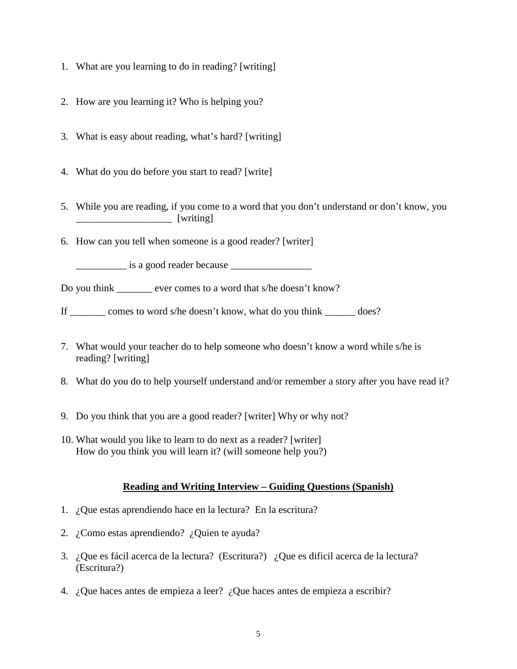- 1. What are you learning to do in reading? [writing]
- 2. How are you learning it? Who is helping you?
- 3. What is easy about reading, what's hard? [writing]
- 4. What do you do before you start to read? [write]
- 5. While you are reading, if you come to a word that you don't understand or don't know, you \_\_\_\_\_\_\_\_\_\_\_\_\_\_\_\_\_\_\_ [writing]
- 6. How can you tell when someone is a good reader? [writer]

 $\frac{1}{2}$  is a good reader because  $\frac{1}{2}$ 

Do you think \_\_\_\_\_\_\_ ever comes to a word that s/he doesn't know?

If comes to word s/he doesn't know, what do you think does?

- 7. What would your teacher do to help someone who doesn't know a word while s/he is reading? [writing]
- 8. What do you do to help yourself understand and/or remember a story after you have read it?
- 9. Do you think that you are a good reader? [writer] Why or why not?
- 10. What would you like to learn to do next as a reader? [writer] How do you think you will learn it? (will someone help you?)

# **Reading and Writing Interview – Guiding Questions (Spanish)**

- 1. ¿Que estas aprendiendo hace en la lectura? En la escritura?
- 2. ¿Como estas aprendiendo? ¿Quien te ayuda?
- 3. ¿Que es fácil acerca de la lectura? (Escritura?) ¿Que es dificil acerca de la lectura? (Escritura?)
- 4. ¿Que haces antes de empieza a leer? ¿Que haces antes de empieza a escribir?